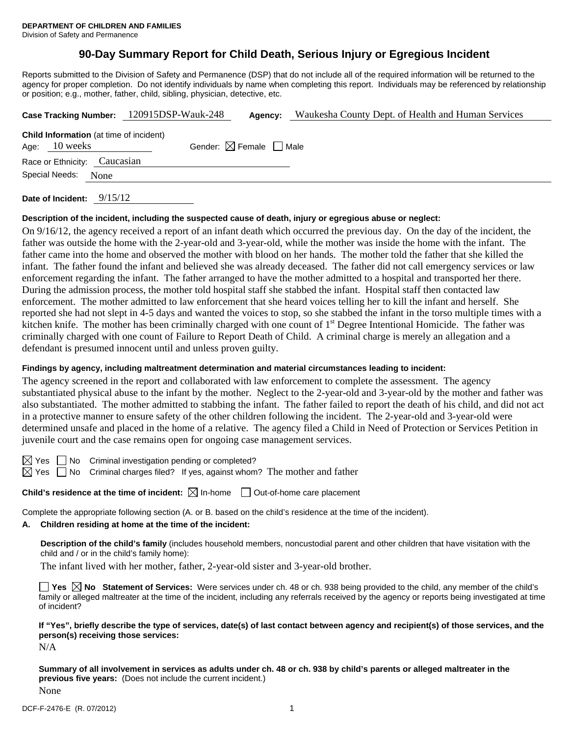# **90-Day Summary Report for Child Death, Serious Injury or Egregious Incident**

Reports submitted to the Division of Safety and Permanence (DSP) that do not include all of the required information will be returned to the agency for proper completion. Do not identify individuals by name when completing this report. Individuals may be referenced by relationship or position; e.g., mother, father, child, sibling, physician, detective, etc.

|                 |                                                | Case Tracking Number: 120915DSP-Wauk-248 | Agency:                                | Waukesha County Dept. of Health and Human Services |
|-----------------|------------------------------------------------|------------------------------------------|----------------------------------------|----------------------------------------------------|
| Age: $10$ weeks | <b>Child Information</b> (at time of incident) |                                          | Gender: $\boxtimes$ Female $\Box$ Male |                                                    |
|                 | Race or Ethnicity: Caucasian                   |                                          |                                        |                                                    |
| Special Needs:  | None                                           |                                          |                                        |                                                    |
|                 |                                                |                                          |                                        |                                                    |

**Date of Incident:** 9/15/12

### **Description of the incident, including the suspected cause of death, injury or egregious abuse or neglect:**

On 9/16/12, the agency received a report of an infant death which occurred the previous day. On the day of the incident, the father was outside the home with the 2-year-old and 3-year-old, while the mother was inside the home with the infant. The father came into the home and observed the mother with blood on her hands. The mother told the father that she killed the infant. The father found the infant and believed she was already deceased. The father did not call emergency services or law enforcement regarding the infant. The father arranged to have the mother admitted to a hospital and transported her there. During the admission process, the mother told hospital staff she stabbed the infant. Hospital staff then contacted law enforcement. The mother admitted to law enforcement that she heard voices telling her to kill the infant and herself. She reported she had not slept in 4-5 days and wanted the voices to stop, so she stabbed the infant in the torso multiple times with a kitchen knife. The mother has been criminally charged with one count of 1<sup>st</sup> Degree Intentional Homicide. The father was criminally charged with one count of Failure to Report Death of Child. A criminal charge is merely an allegation and a defendant is presumed innocent until and unless proven guilty.

### **Findings by agency, including maltreatment determination and material circumstances leading to incident:**

The agency screened in the report and collaborated with law enforcement to complete the assessment. The agency substantiated physical abuse to the infant by the mother. Neglect to the 2-year-old and 3-year-old by the mother and father was also substantiated. The mother admitted to stabbing the infant. The father failed to report the death of his child, and did not act in a protective manner to ensure safety of the other children following the incident. The 2-year-old and 3-year-old were determined unsafe and placed in the home of a relative. The agency filed a Child in Need of Protection or Services Petition in juvenile court and the case remains open for ongoing case management services.

 $\boxtimes$  Yes  $\Box$  No Criminal investigation pending or completed?

 $\boxtimes$  Yes  $\Box$  No Criminal charges filed? If yes, against whom? The mother and father

**Child's residence at the time of incident:**  $\boxtimes$  In-home  $\Box$  Out-of-home care placement

Complete the appropriate following section (A. or B. based on the child's residence at the time of the incident).

#### **A. Children residing at home at the time of the incident:**

**Description of the child's family** (includes household members, noncustodial parent and other children that have visitation with the child and / or in the child's family home):

The infant lived with her mother, father, 2-year-old sister and 3-year-old brother.

■ Yes **No** Statement of Services: Were services under ch. 48 or ch. 938 being provided to the child, any member of the child's family or alleged maltreater at the time of the incident, including any referrals received by the agency or reports being investigated at time of incident?

**If "Yes", briefly describe the type of services, date(s) of last contact between agency and recipient(s) of those services, and the person(s) receiving those services:** 

N/A

**Summary of all involvement in services as adults under ch. 48 or ch. 938 by child's parents or alleged maltreater in the previous five years:** (Does not include the current incident.) None